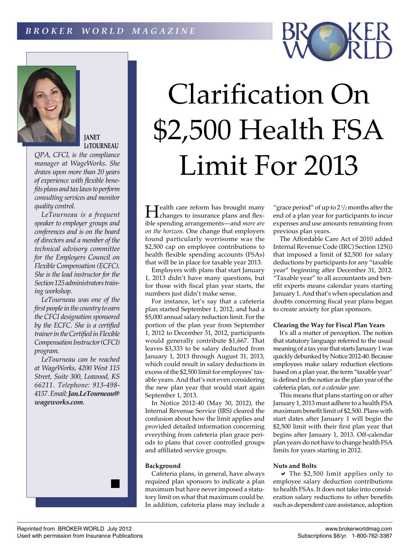

# **JANET LeTOURNEAU**

*QPA, CFCI, is the compliance manager at WageWorks. She draws upon more than 20 years of experience with flexible benefits plans and tax laws to perform consulting services and monitor quality control.*

*LeTourneau is a frequent speaker to employer groups and conferences and is on the board of directors and a member of the technical advisory committee for the Employers Council on Flexible Compensation (ECFC). She is the lead instructor for the Section 125 administrators training workshop.*

*LeTourneau was one of the first people in the country to earn the CFCI designation sponsored by the ECFC. She is a certified trainer in the Certified in Flexible Compensation Instructor (CFCI) program.*

*LeTourneau can be reached at WageWorks, 4200 West 115 Street, Suite 300, Leawood, KS 66211. Telephone: 913-498- 4157. Email: Jan.LeTourneau@ wageworks.com.*



**Health care reform has brought many**<br>changes to insurance plans and flexible spending arrangements—and *more are on the horizon.* One change that employers found particularly worrisome was the \$2,500 cap on employee contributions to health flexible spending accounts (FSAs) that will be in place for taxable year 2013.

Employers with plans that start January 1, 2013 didn't have many questions, but for those with fiscal plan year starts, the numbers just didn't make sense.

For instance, let's say that a cafeteria plan started September 1, 2012, and had a \$5,000 annual salary reduction limit. For the portion of the plan year from September 1, 2012 to December 31, 2012, participants would generally contribute \$1,667. That leaves \$3,333 to be salary deducted from January 1, 2013 through August 31, 2013, which could result in salary deductions in excess of the \$2,500 limit for employees' taxable years. And that's not even considering the new plan year that would start again September 1, 2013.

In Notice 2012-40 (May 30, 2012), the Internal Revenue Service (IRS) cleared the confusion about how the limit applies and provided detailed information concerning everything from cafeteria plan grace periods to plans that cover controlled groups and affiliated service groups.

# **Background**

Cafeteria plans, in general, have always required plan sponsors to indicate a plan maximum but have never imposed a statutory limit on what that maximum could be. In addition, cafeteria plans may include a

"grace period" of up to  $2\frac{1}{2}$  months after the end of a plan year for participants to incur expenses and use amounts remaining from previous plan years.

The Affordable Care Act of 2010 added Internal Revenue Code (IRC) Section 125(i) that imposed a limit of \$2,500 for salary deductions by participants for any "taxable year" beginning after December 31, 2012. "Taxable year" to all accountants and benefit experts means calendar years starting January 1. And that's when speculation and doubts concerning fiscal year plans began to create anxiety for plan sponsors.

## **Clearing the Way for Fiscal Plan Years**

It's all a matter of perception. The notion that statutory language referred to the usual meaning of a tax year that starts January 1 was quickly debunked by Notice 2012-40. Because employees make salary reduction elections based on a plan year, the term "taxable year" is defined in the notice as the plan year of the cafeteria plan, *not a calendar year.*

This means that plans starting on or after January 1, 2013 must adhere to a health FSA maximum benefit limit of \$2,500. Plans with start dates after January 1 will begin the \$2,500 limit with their first plan year that begins after January 1, 2013. Off-calendar plan years do not have to change health FSA limits for years starting in 2012.

#### **Nuts and Bolts**

a  The \$2,500 limit applies only to employee salary deduction contributions to health FSAs. It does not take into consideration salary reductions to other benefits such as dependent care assistance, adoption